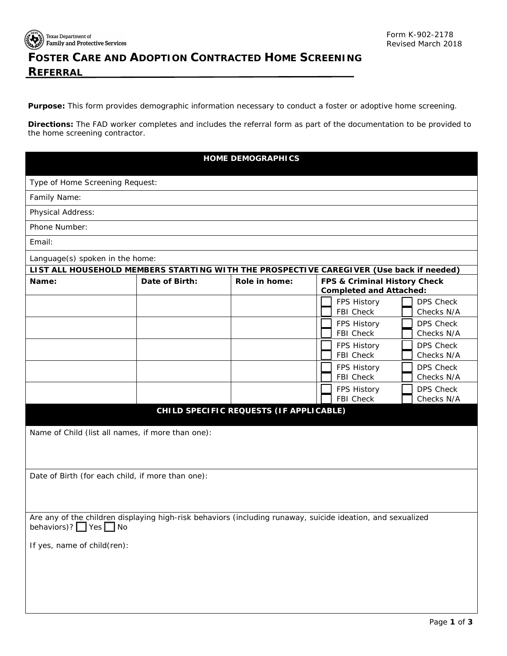

Texas Department of<br>Starting Texas Department of<br>Starting and Protective Services

## **FOSTER CARE AND ADOPTION CONTRACTED HOME SCREENING REFERRAL**

**Purpose:** This form provides demographic information necessary to conduct a foster or adoptive home screening.

 **Directions:** The FAD worker completes and includes the referral form as part of the documentation to be provided to the home screening contractor.

| <b>HOME DEMOGRAPHICS</b>                                                                                                          |                |               |                                                                |                  |  |  |
|-----------------------------------------------------------------------------------------------------------------------------------|----------------|---------------|----------------------------------------------------------------|------------------|--|--|
| Type of Home Screening Request:                                                                                                   |                |               |                                                                |                  |  |  |
| Family Name:                                                                                                                      |                |               |                                                                |                  |  |  |
| Physical Address:                                                                                                                 |                |               |                                                                |                  |  |  |
| Phone Number:                                                                                                                     |                |               |                                                                |                  |  |  |
| Email:                                                                                                                            |                |               |                                                                |                  |  |  |
| Language(s) spoken in the home:                                                                                                   |                |               |                                                                |                  |  |  |
| LIST ALL HOUSEHOLD MEMBERS STARTING WITH THE PROSPECTIVE CAREGIVER (Use back if needed)                                           |                |               |                                                                |                  |  |  |
| Name:                                                                                                                             | Date of Birth: | Role in home: | FPS & Criminal History Check<br><b>Completed and Attached:</b> |                  |  |  |
|                                                                                                                                   |                |               | FPS History                                                    | <b>DPS Check</b> |  |  |
|                                                                                                                                   |                |               | FBI Check                                                      | Checks N/A       |  |  |
|                                                                                                                                   |                |               | FPS History                                                    | <b>DPS Check</b> |  |  |
|                                                                                                                                   |                |               | FBI Check                                                      | Checks N/A       |  |  |
|                                                                                                                                   |                |               | FPS History                                                    | <b>DPS Check</b> |  |  |
|                                                                                                                                   |                |               | FBI Check                                                      | Checks N/A       |  |  |
|                                                                                                                                   |                |               | FPS History                                                    | <b>DPS Check</b> |  |  |
|                                                                                                                                   |                |               | <b>FBI Check</b>                                               | Checks N/A       |  |  |
|                                                                                                                                   |                |               | FPS History                                                    | <b>DPS Check</b> |  |  |
|                                                                                                                                   |                |               | <b>FBI Check</b>                                               | Checks N/A       |  |  |
| CHILD SPECIFIC REQUESTS (IF APPLICABLE)                                                                                           |                |               |                                                                |                  |  |  |
| Name of Child (list all names, if more than one):                                                                                 |                |               |                                                                |                  |  |  |
|                                                                                                                                   |                |               |                                                                |                  |  |  |
|                                                                                                                                   |                |               |                                                                |                  |  |  |
| Date of Birth (for each child, if more than one):                                                                                 |                |               |                                                                |                  |  |  |
|                                                                                                                                   |                |               |                                                                |                  |  |  |
|                                                                                                                                   |                |               |                                                                |                  |  |  |
|                                                                                                                                   |                |               |                                                                |                  |  |  |
| Are any of the children displaying high-risk behaviors (including runaway, suicide ideation, and sexualized<br>behaviors)? Ves No |                |               |                                                                |                  |  |  |
| If yes, name of child(ren):                                                                                                       |                |               |                                                                |                  |  |  |
|                                                                                                                                   |                |               |                                                                |                  |  |  |
|                                                                                                                                   |                |               |                                                                |                  |  |  |
|                                                                                                                                   |                |               |                                                                |                  |  |  |
|                                                                                                                                   |                |               |                                                                |                  |  |  |
|                                                                                                                                   |                |               |                                                                |                  |  |  |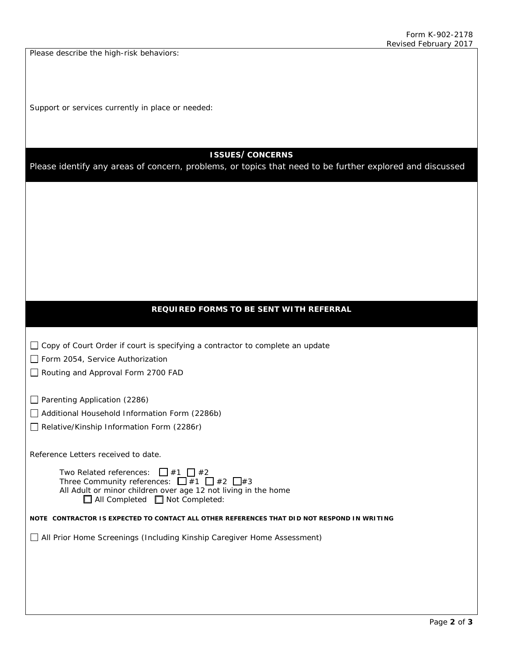Please describe the high-risk behaviors:

Support or services currently in place or needed:

## **ISSUES/CONCERNS**

Please identify any areas of concern, problems, or topics that need to be further explored and discussed

## **REQUIRED FORMS TO BE SENT WITH REFERRAL**

| $\Box$ Copy of Court Order if court is specifying a contractor to complete an update |  |
|--------------------------------------------------------------------------------------|--|
|--------------------------------------------------------------------------------------|--|

Form 2054, Service Authorization

Routing and Approval Form 2700 FAD

 $\Box$  Parenting Application (2286)

Additional Household Information Form (2286b)

Relative/Kinship Information Form (2286r)

Reference Letters received to date.

| Two Related references: $\Box$ #1 $\Box$ #2                    |
|----------------------------------------------------------------|
| Three Community references: $\Box$ #1 $\Box$ #2 $\Box$ #3      |
| All Adult or minor children over age 12 not living in the home |
| $\Box$ All Completed $\Box$ Not Completed:                     |

**NOTE CONTRACTOR IS EXPECTED TO CONTACT ALL OTHER REFERENCES THAT DID NOT RESPOND IN WRITING** 

All Prior Home Screenings (Including Kinship Caregiver Home Assessment)